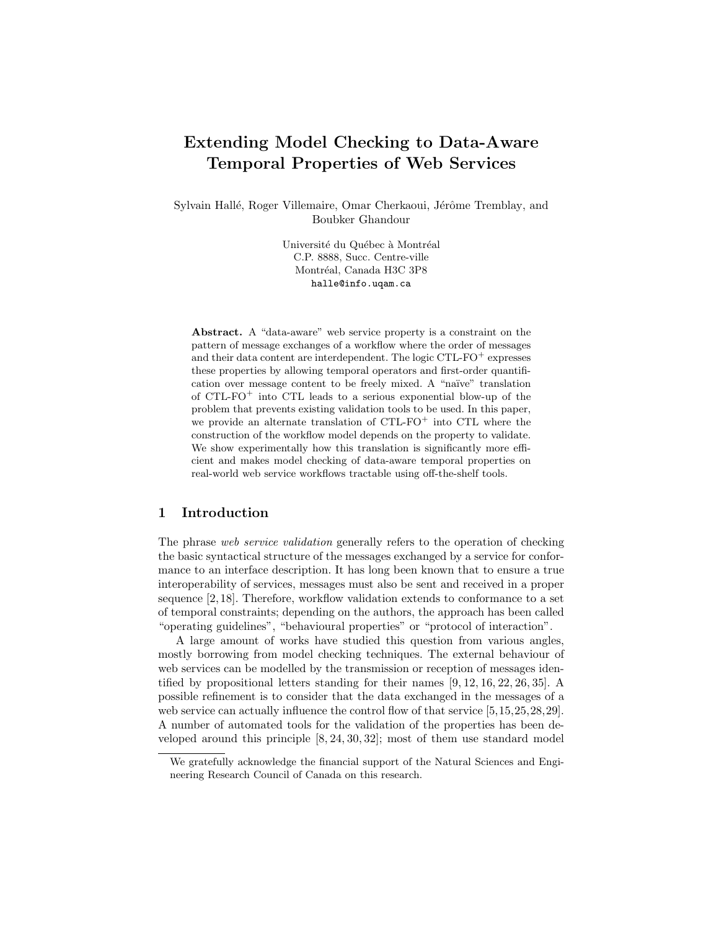# Extending Model Checking to Data-Aware Temporal Properties of Web Services

Sylvain Hallé, Roger Villemaire, Omar Cherkaoui, Jérôme Tremblay, and Boubker Ghandour

> Université du Québec à Montréal C.P. 8888, Succ. Centre-ville Montréal, Canada H3C 3P8 halle@info.uqam.ca

Abstract. A "data-aware" web service property is a constraint on the pattern of message exchanges of a workflow where the order of messages and their data content are interdependent. The logic  $\text{CTL-FO}^+$  expresses these properties by allowing temporal operators and first-order quantification over message content to be freely mixed. A "na¨ıve" translation of  $CTL-FO^+$  into CTL leads to a serious exponential blow-up of the problem that prevents existing validation tools to be used. In this paper, we provide an alternate translation of  $CTL-FO^+$  into  $CTL$  where the construction of the workflow model depends on the property to validate. We show experimentally how this translation is significantly more efficient and makes model checking of data-aware temporal properties on real-world web service workflows tractable using off-the-shelf tools.

# 1 Introduction

The phrase web service validation generally refers to the operation of checking the basic syntactical structure of the messages exchanged by a service for conformance to an interface description. It has long been known that to ensure a true interoperability of services, messages must also be sent and received in a proper sequence [2, 18]. Therefore, workflow validation extends to conformance to a set of temporal constraints; depending on the authors, the approach has been called "operating guidelines", "behavioural properties" or "protocol of interaction".

A large amount of works have studied this question from various angles, mostly borrowing from model checking techniques. The external behaviour of web services can be modelled by the transmission or reception of messages identified by propositional letters standing for their names [9, 12, 16, 22, 26, 35]. A possible refinement is to consider that the data exchanged in the messages of a web service can actually influence the control flow of that service  $[5, 15, 25, 28, 29]$ . A number of automated tools for the validation of the properties has been developed around this principle [8, 24, 30, 32]; most of them use standard model

We gratefully acknowledge the financial support of the Natural Sciences and Engineering Research Council of Canada on this research.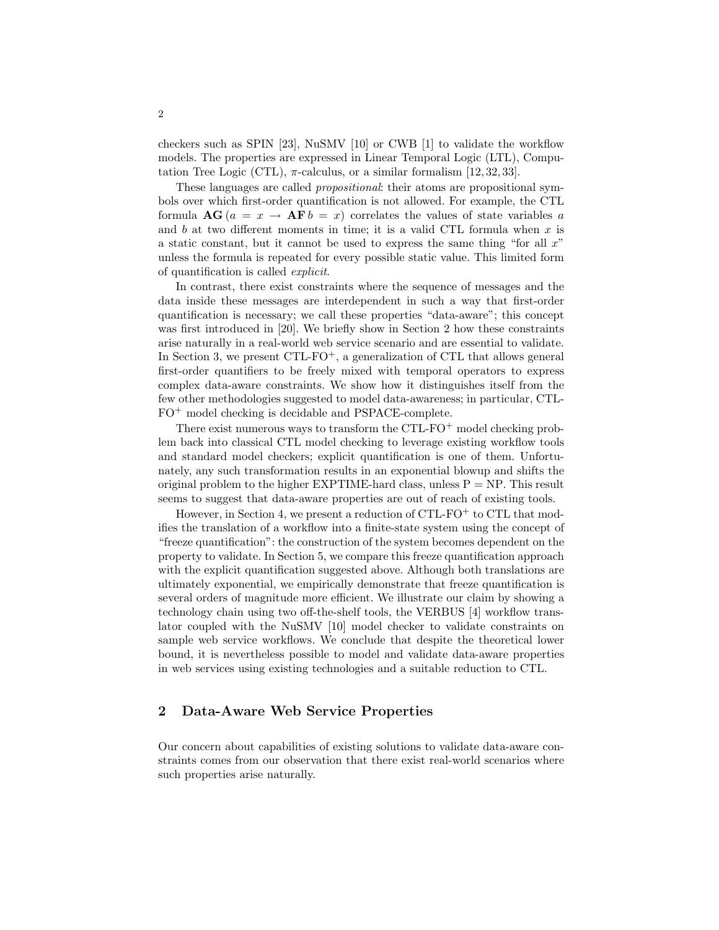checkers such as SPIN [23], NuSMV [10] or CWB [1] to validate the workflow models. The properties are expressed in Linear Temporal Logic (LTL), Computation Tree Logic (CTL),  $\pi$ -calculus, or a similar formalism [12, 32, 33].

These languages are called propositional: their atoms are propositional symbols over which first-order quantification is not allowed. For example, the CTL formula  $\text{AG} (a = x \rightarrow \text{AF} b = x)$  correlates the values of state variables a and b at two different moments in time; it is a valid CTL formula when  $x$  is a static constant, but it cannot be used to express the same thing "for all x" unless the formula is repeated for every possible static value. This limited form of quantification is called explicit.

In contrast, there exist constraints where the sequence of messages and the data inside these messages are interdependent in such a way that first-order quantification is necessary; we call these properties "data-aware"; this concept was first introduced in [20]. We briefly show in Section 2 how these constraints arise naturally in a real-world web service scenario and are essential to validate. In Section 3, we present CTL-FO<sup>+</sup>, a generalization of CTL that allows general first-order quantifiers to be freely mixed with temporal operators to express complex data-aware constraints. We show how it distinguishes itself from the few other methodologies suggested to model data-awareness; in particular, CTL-FO<sup>+</sup> model checking is decidable and PSPACE-complete.

There exist numerous ways to transform the  $\text{CTL-FO}^+$  model checking problem back into classical CTL model checking to leverage existing workflow tools and standard model checkers; explicit quantification is one of them. Unfortunately, any such transformation results in an exponential blowup and shifts the original problem to the higher EXPTIME-hard class, unless  $P = NP$ . This result seems to suggest that data-aware properties are out of reach of existing tools.

However, in Section 4, we present a reduction of  $CTL\text{-}FO^+$  to  $CTL$  that modifies the translation of a workflow into a finite-state system using the concept of "freeze quantification": the construction of the system becomes dependent on the property to validate. In Section 5, we compare this freeze quantification approach with the explicit quantification suggested above. Although both translations are ultimately exponential, we empirically demonstrate that freeze quantification is several orders of magnitude more efficient. We illustrate our claim by showing a technology chain using two off-the-shelf tools, the VERBUS [4] workflow translator coupled with the NuSMV [10] model checker to validate constraints on sample web service workflows. We conclude that despite the theoretical lower bound, it is nevertheless possible to model and validate data-aware properties in web services using existing technologies and a suitable reduction to CTL.

### 2 Data-Aware Web Service Properties

Our concern about capabilities of existing solutions to validate data-aware constraints comes from our observation that there exist real-world scenarios where such properties arise naturally.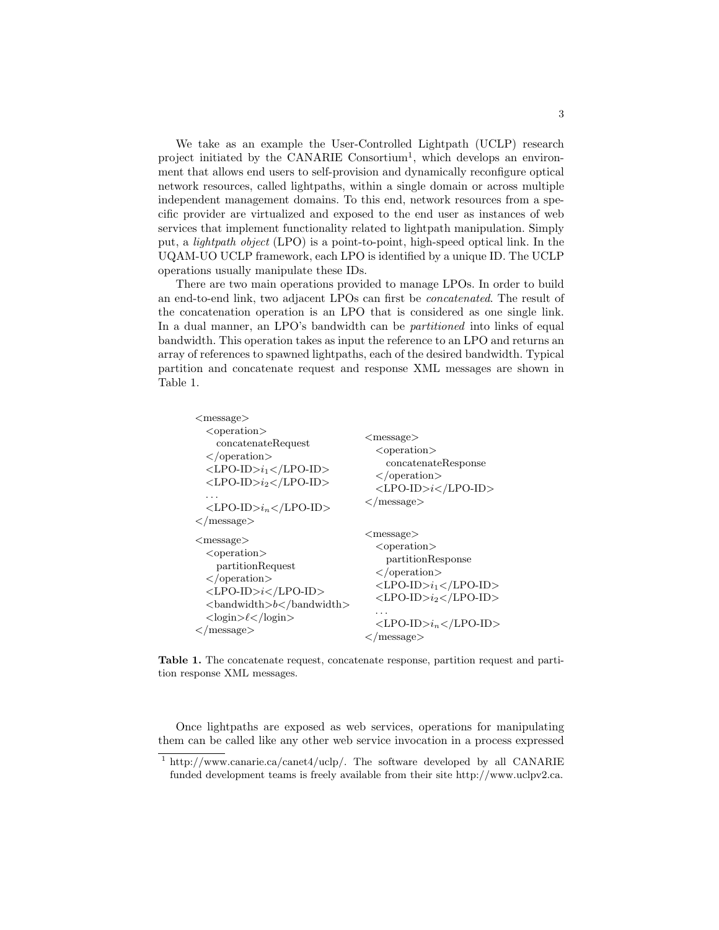We take as an example the User-Controlled Lightpath (UCLP) research project initiated by the CANARIE Consortium<sup>1</sup>, which develops an environment that allows end users to self-provision and dynamically reconfigure optical network resources, called lightpaths, within a single domain or across multiple independent management domains. To this end, network resources from a specific provider are virtualized and exposed to the end user as instances of web services that implement functionality related to lightpath manipulation. Simply put, a lightpath object (LPO) is a point-to-point, high-speed optical link. In the UQAM-UO UCLP framework, each LPO is identified by a unique ID. The UCLP operations usually manipulate these IDs.

There are two main operations provided to manage LPOs. In order to build an end-to-end link, two adjacent LPOs can first be concatenated. The result of the concatenation operation is an LPO that is considered as one single link. In a dual manner, an LPO's bandwidth can be *partitioned* into links of equal bandwidth. This operation takes as input the reference to an LPO and returns an array of references to spawned lightpaths, each of the desired bandwidth. Typical partition and concatenate request and response XML messages are shown in Table 1.

| $<$ message $>$<br>$\langle$ operation $\rangle$<br>concatenateRequest<br>$\langle$ /operation $\rangle$<br>$\langle$ LPO-ID> $i_1 \langle$ /LPO-ID><br>$\langle$ LPO-ID> $i_2\langle$ /LPO-ID><br>.<br>$\langle$ LPO-ID $>$ i <sub>n</sub> $\langle$ /LPO-ID $>$<br>$\langle$ /message $\rangle$ | $<$ message $>$<br>$\langle$ operation $\rangle$<br>concatenateResponse<br>$\langle$ /operation><br><lpo-id>i</lpo-id><br>$\langle$ /message $\rangle$ |
|---------------------------------------------------------------------------------------------------------------------------------------------------------------------------------------------------------------------------------------------------------------------------------------------------|--------------------------------------------------------------------------------------------------------------------------------------------------------|
| $<$ message $>$                                                                                                                                                                                                                                                                                   | $<$ message $>$                                                                                                                                        |
| $\langle$ operation $\rangle$                                                                                                                                                                                                                                                                     | $\langle$ operation $\rangle$                                                                                                                          |
| partitionRequest                                                                                                                                                                                                                                                                                  | partitionResponse                                                                                                                                      |
| $\langle$ /operation>                                                                                                                                                                                                                                                                             | $\langle$ /operation $\rangle$                                                                                                                         |
| <lpo-id>i</lpo-id>                                                                                                                                                                                                                                                                                | $\langle$ LPO-ID> $i_1 \langle$ /LPO-ID>                                                                                                               |
| $\&$ bandwidth $>b$ /bandwidth $>$                                                                                                                                                                                                                                                                | $\langle$ LPO-ID> $i_2\langle$ /LPO-ID>                                                                                                                |
| <login><math>\ell</math></login>                                                                                                                                                                                                                                                                  | $\langle$ LPO-ID $>$ i <sub>n</sub> $\langle$ /LPO-ID $>$                                                                                              |
| $\langle$ /message $\rangle$                                                                                                                                                                                                                                                                      | $\langle$ /message $\rangle$                                                                                                                           |

Table 1. The concatenate request, concatenate response, partition request and partition response XML messages.

Once lightpaths are exposed as web services, operations for manipulating them can be called like any other web service invocation in a process expressed

<sup>&</sup>lt;sup>1</sup> http://www.canarie.ca/canet4/uclp/. The software developed by all CANARIE funded development teams is freely available from their site http://www.uclpv2.ca.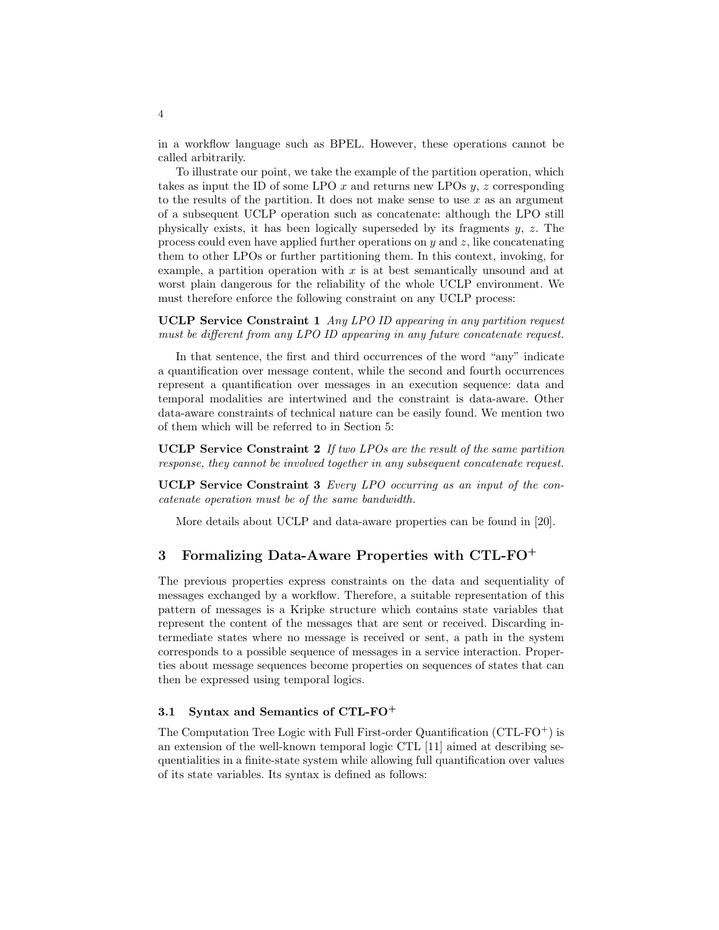in a workflow language such as BPEL. However, these operations cannot be called arbitrarily.

To illustrate our point, we take the example of the partition operation, which takes as input the ID of some LPO  $x$  and returns new LPOs  $y$ ,  $z$  corresponding to the results of the partition. It does not make sense to use  $x$  as an argument of a subsequent UCLP operation such as concatenate: although the LPO still physically exists, it has been logically superseded by its fragments  $y$ ,  $z$ . The process could even have applied further operations on  $y$  and  $z$ , like concatenating them to other LPOs or further partitioning them. In this context, invoking, for example, a partition operation with  $x$  is at best semantically unsound and at worst plain dangerous for the reliability of the whole UCLP environment. We must therefore enforce the following constraint on any UCLP process:

UCLP Service Constraint 1 Any LPO ID appearing in any partition request must be different from any LPO ID appearing in any future concatenate request.

In that sentence, the first and third occurrences of the word "any" indicate a quantification over message content, while the second and fourth occurrences represent a quantification over messages in an execution sequence: data and temporal modalities are intertwined and the constraint is data-aware. Other data-aware constraints of technical nature can be easily found. We mention two of them which will be referred to in Section 5:

UCLP Service Constraint 2 If two LPOs are the result of the same partition response, they cannot be involved together in any subsequent concatenate request.

UCLP Service Constraint 3 Every LPO occurring as an input of the concatenate operation must be of the same bandwidth.

More details about UCLP and data-aware properties can be found in [20].

## 3 Formalizing Data-Aware Properties with CTL-FO<sup>+</sup>

The previous properties express constraints on the data and sequentiality of messages exchanged by a workflow. Therefore, a suitable representation of this pattern of messages is a Kripke structure which contains state variables that represent the content of the messages that are sent or received. Discarding intermediate states where no message is received or sent, a path in the system corresponds to a possible sequence of messages in a service interaction. Properties about message sequences become properties on sequences of states that can then be expressed using temporal logics.

### 3.1 Syntax and Semantics of CTL-FO<sup>+</sup>

The Computation Tree Logic with Full First-order Quantification  $(CTL-FO<sup>+</sup>)$  is an extension of the well-known temporal logic CTL [11] aimed at describing sequentialities in a finite-state system while allowing full quantification over values of its state variables. Its syntax is defined as follows: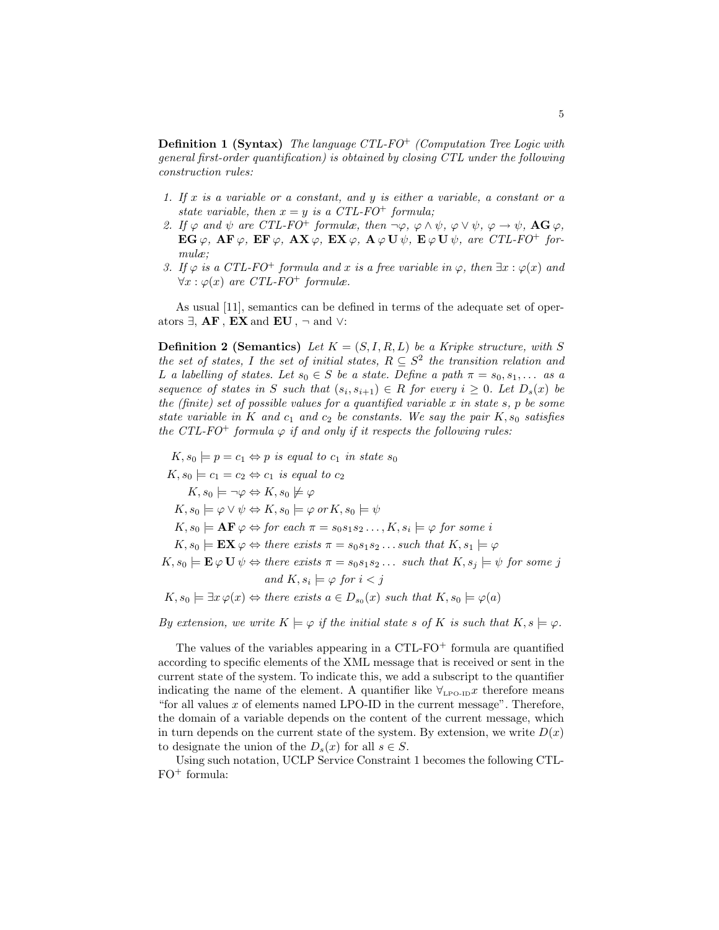**Definition 1 (Syntax)** The language CTL-FO<sup>+</sup> (Computation Tree Logic with general first-order quantification) is obtained by closing CTL under the following construction rules:

- 1. If x is a variable or a constant, and y is either a variable, a constant or a state variable, then  $x = y$  is a CTL-FO<sup>+</sup> formula;
- 2. If  $\varphi$  and  $\psi$  are CTL-FO<sup>+</sup> formulæ, then  $\neg \varphi$ ,  $\varphi \wedge \psi$ ,  $\varphi \vee \psi$ ,  $\varphi \rightarrow \psi$ , AG  $\varphi$ ,  $EG \varphi$ ,  $AF \varphi$ ,  $EF \varphi$ ,  $AX \varphi$ ,  $EX \varphi$ ,  $A \varphi U \psi$ ,  $E \varphi U \psi$ , are  $CTL\text{-}FO^+$  formulæ;
- 3. If  $\varphi$  is a CTL-FO<sup>+</sup> formula and x is a free variable in  $\varphi$ , then  $\exists x : \varphi(x)$  and  $\forall x : \varphi(x)$  are CTL-FO<sup>+</sup> formulæ.

As usual [11], semantics can be defined in terms of the adequate set of operators  $\exists$ , **AF**, **EX** and **EU**,  $\neg$  and  $\vee$ :

**Definition 2 (Semantics)** Let  $K = (S, I, R, L)$  be a Kripke structure, with S the set of states, I the set of initial states,  $R \subseteq S^2$  the transition relation and L a labelling of states. Let  $s_0 \in S$  be a state. Define a path  $\pi = s_0, s_1, \ldots$  as a sequence of states in S such that  $(s_i, s_{i+1}) \in R$  for every  $i \geq 0$ . Let  $D_s(x)$  be the (finite) set of possible values for a quantified variable  $x$  in state  $s, p$  be some state variable in K and  $c_1$  and  $c_2$  be constants. We say the pair  $K, s_0$  satisfies the CTL-FO<sup>+</sup> formula  $\varphi$  if and only if it respects the following rules:

 $K, s_0 \models p = c_1 \Leftrightarrow p$  is equal to  $c_1$  in state  $s_0$  $K, s_0 \models c_1 = c_2 \Leftrightarrow c_1$  is equal to  $c_2$  $K, s_0 \models \neg \varphi \Leftrightarrow K, s_0 \not\models \varphi$  $K, s_0 \models \varphi \lor \psi \Leftrightarrow K, s_0 \models \varphi \text{ or } K, s_0 \models \psi$  $K, s_0 \models \mathbf{AF} \varphi \Leftrightarrow for~ each~ \pi = s_0 s_1 s_2 \dots, K, s_i \models \varphi ~ for~ some~ i$  $K, s_0 \models \mathbf{EX} \varphi \Leftrightarrow$  there exists  $\pi = s_0 s_1 s_2 \dots$  such that  $K, s_1 \models \varphi$  $K, s_0 \models \mathbf{E} \varphi \mathbf{U} \psi \Leftrightarrow$  there exists  $\pi = s_0 s_1 s_2 \dots$  such that  $K, s_j \models \psi$  for some j and  $K, s_i \models \varphi$  for  $i < j$  $K, s_0 \models \exists x \varphi(x) \Leftrightarrow there \ exists \ a \in D_{s_0}(x) \ such \ that \ K, s_0 \models \varphi(a)$ 

By extension, we write  $K \models \varphi$  if the initial state s of K is such that  $K, s \models \varphi$ .

The values of the variables appearing in a  $CTL-FO^+$  formula are quantified according to specific elements of the XML message that is received or sent in the current state of the system. To indicate this, we add a subscript to the quantifier indicating the name of the element. A quantifier like  $\forall_{\text{LPO-ID}} x$  therefore means "for all values  $x$  of elements named LPO-ID in the current message". Therefore, the domain of a variable depends on the content of the current message, which in turn depends on the current state of the system. By extension, we write  $D(x)$ to designate the union of the  $D_s(x)$  for all  $s \in S$ .

Using such notation, UCLP Service Constraint 1 becomes the following CTL- $FO^+$  formula: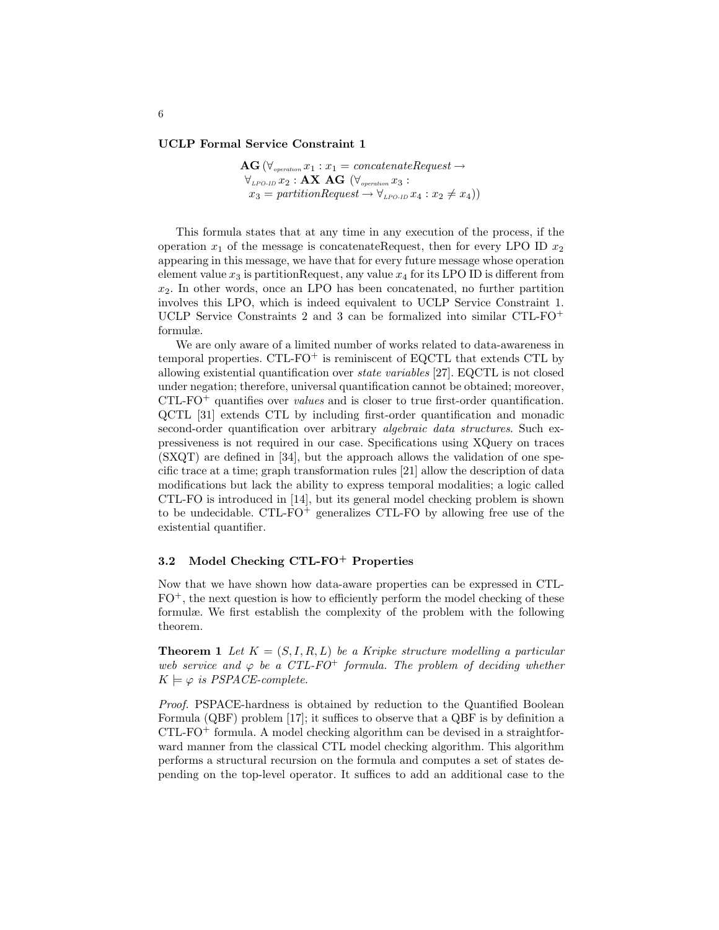#### UCLP Formal Service Constraint 1

$$
\begin{array}{l}\n\mathbf{AG} \left( \forall_{\textit{operation}} x_1 : x_1 = \textit{concatenateRequest} \rightarrow \\ \forall_{\textit{LPO-ID}} x_2 : \mathbf{AX} \; \mathbf{AG} \; (\forall_{\textit{operation}} x_3 : \\ x_3 = \textit{partitionRequest} \rightarrow \forall_{\textit{LPO-ID}} x_4 : x_2 \neq x_4)\n\end{array}
$$

This formula states that at any time in any execution of the process, if the operation  $x_1$  of the message is concatenateRequest, then for every LPO ID  $x_2$ appearing in this message, we have that for every future message whose operation element value  $x_3$  is partitionRequest, any value  $x_4$  for its LPO ID is different from  $x_2$ . In other words, once an LPO has been concatenated, no further partition involves this LPO, which is indeed equivalent to UCLP Service Constraint 1. UCLP Service Constraints 2 and 3 can be formalized into similar CTL-FO<sup>+</sup> formulæ.

We are only aware of a limited number of works related to data-awareness in temporal properties.  $CTL-FO^+$  is reminiscent of EQCTL that extends CTL by allowing existential quantification over state variables [27]. EQCTL is not closed under negation; therefore, universal quantification cannot be obtained; moreover,  $CTL-FO<sup>+</sup>$  quantifies over *values* and is closer to true first-order quantification. QCTL [31] extends CTL by including first-order quantification and monadic second-order quantification over arbitrary algebraic data structures. Such expressiveness is not required in our case. Specifications using XQuery on traces (SXQT) are defined in [34], but the approach allows the validation of one specific trace at a time; graph transformation rules [21] allow the description of data modifications but lack the ability to express temporal modalities; a logic called CTL-FO is introduced in [14], but its general model checking problem is shown to be undecidable. CTL-FO<sup>+</sup> generalizes CTL-FO by allowing free use of the existential quantifier.

# 3.2 Model Checking CTL-FO<sup>+</sup> Properties

Now that we have shown how data-aware properties can be expressed in CTL- $FO<sup>+</sup>$ , the next question is how to efficiently perform the model checking of these formulæ. We first establish the complexity of the problem with the following theorem.

**Theorem 1** Let  $K = (S, I, R, L)$  be a Kripke structure modelling a particular web service and  $\varphi$  be a CTL-FO<sup>+</sup> formula. The problem of deciding whether  $K \models \varphi$  is PSPACE-complete.

Proof. PSPACE-hardness is obtained by reduction to the Quantified Boolean Formula (QBF) problem [17]; it suffices to observe that a QBF is by definition a  $CTL-FO<sup>+</sup>$  formula. A model checking algorithm can be devised in a straightforward manner from the classical CTL model checking algorithm. This algorithm performs a structural recursion on the formula and computes a set of states depending on the top-level operator. It suffices to add an additional case to the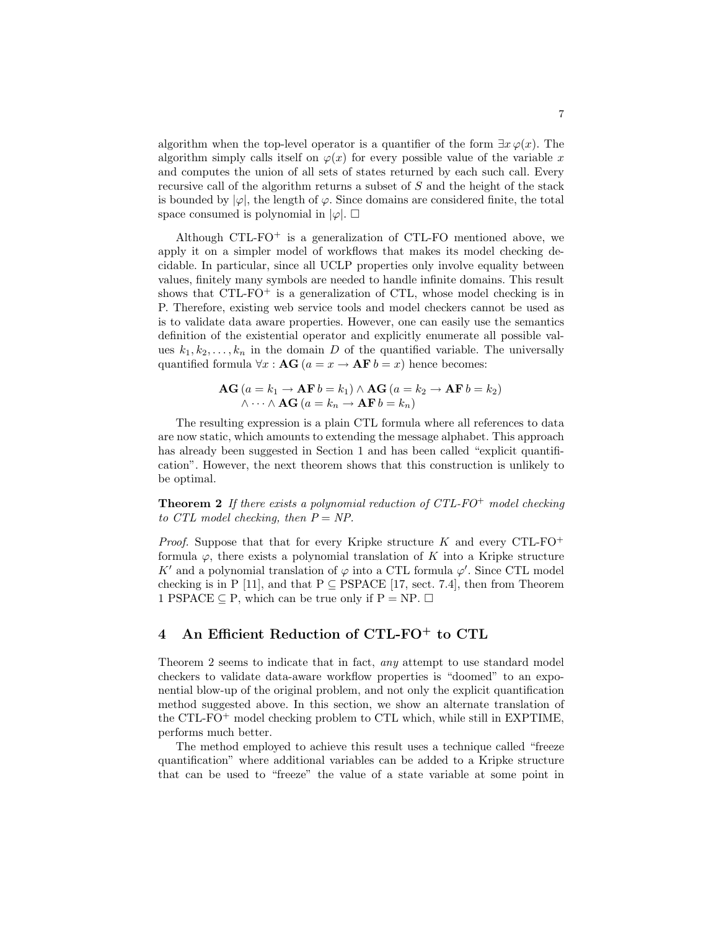algorithm when the top-level operator is a quantifier of the form  $\exists x \varphi(x)$ . The algorithm simply calls itself on  $\varphi(x)$  for every possible value of the variable x and computes the union of all sets of states returned by each such call. Every recursive call of the algorithm returns a subset of S and the height of the stack is bounded by  $|\varphi|$ , the length of  $\varphi$ . Since domains are considered finite, the total space consumed is polynomial in  $|\varphi|$ .  $\square$ 

Although CTL-FO<sup>+</sup> is a generalization of CTL-FO mentioned above, we apply it on a simpler model of workflows that makes its model checking decidable. In particular, since all UCLP properties only involve equality between values, finitely many symbols are needed to handle infinite domains. This result shows that  $CTL\text{-}FO^+$  is a generalization of CTL, whose model checking is in P. Therefore, existing web service tools and model checkers cannot be used as is to validate data aware properties. However, one can easily use the semantics definition of the existential operator and explicitly enumerate all possible values  $k_1, k_2, \ldots, k_n$  in the domain D of the quantified variable. The universally quantified formula  $\forall x : AG$  ( $a = x \rightarrow AF$  b = x) hence becomes:

$$
\mathbf{AG} (a = k_1 \rightarrow \mathbf{AF} b = k_1) \land \mathbf{AG} (a = k_2 \rightarrow \mathbf{AF} b = k_2) \land \cdots \land \mathbf{AG} (a = k_n \rightarrow \mathbf{AF} b = k_n)
$$

The resulting expression is a plain CTL formula where all references to data are now static, which amounts to extending the message alphabet. This approach has already been suggested in Section 1 and has been called "explicit quantification". However, the next theorem shows that this construction is unlikely to be optimal.

**Theorem 2** If there exists a polynomial reduction of  $CTL\text{-}FO^+$  model checking to CTL model checking, then  $P = NP$ .

*Proof.* Suppose that that for every Kripke structure K and every CTL-FO<sup>+</sup> formula  $\varphi$ , there exists a polynomial translation of K into a Kripke structure K' and a polynomial translation of  $\varphi$  into a CTL formula  $\varphi'$ . Since CTL model checking is in P [11], and that  $P \subseteq PSPACE$  [17, sect. 7.4], then from Theorem 1 PSPACE  $\subseteq$  P, which can be true only if P = NP.  $\Box$ 

# 4 An Efficient Reduction of CTL-FO<sup>+</sup> to CTL

Theorem 2 seems to indicate that in fact, *any* attempt to use standard model checkers to validate data-aware workflow properties is "doomed" to an exponential blow-up of the original problem, and not only the explicit quantification method suggested above. In this section, we show an alternate translation of the CTL-FO<sup>+</sup> model checking problem to CTL which, while still in EXPTIME, performs much better.

The method employed to achieve this result uses a technique called "freeze quantification" where additional variables can be added to a Kripke structure that can be used to "freeze" the value of a state variable at some point in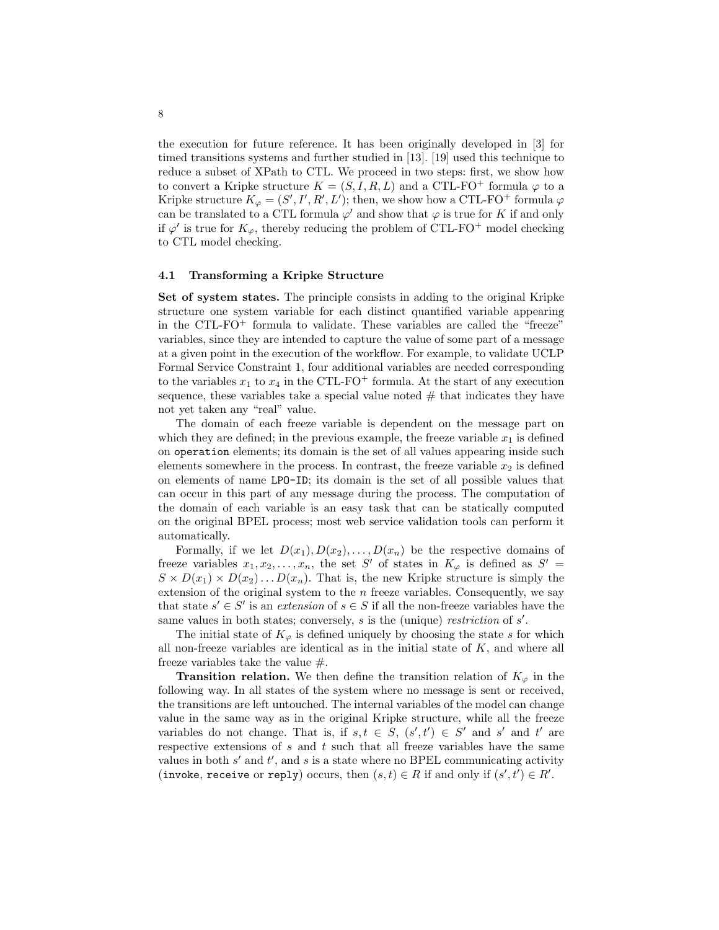the execution for future reference. It has been originally developed in [3] for timed transitions systems and further studied in [13]. [19] used this technique to reduce a subset of XPath to CTL. We proceed in two steps: first, we show how to convert a Kripke structure  $K = (S, I, R, L)$  and a CTL-FO<sup>+</sup> formula  $\varphi$  to a Kripke structure  $K_{\varphi} = (S', I', R', L')$ ; then, we show how a CTL-FO<sup>+</sup> formula  $\varphi$ can be translated to a CTL formula  $\varphi'$  and show that  $\varphi$  is true for K if and only if  $\varphi'$  is true for  $K_{\varphi}$ , thereby reducing the problem of CTL-FO<sup>+</sup> model checking to CTL model checking.

#### 4.1 Transforming a Kripke Structure

Set of system states. The principle consists in adding to the original Kripke structure one system variable for each distinct quantified variable appearing in the CTL-FO<sup>+</sup> formula to validate. These variables are called the "freeze" variables, since they are intended to capture the value of some part of a message at a given point in the execution of the workflow. For example, to validate UCLP Formal Service Constraint 1, four additional variables are needed corresponding to the variables  $x_1$  to  $x_4$  in the CTL-FO<sup>+</sup> formula. At the start of any execution sequence, these variables take a special value noted  $#$  that indicates they have not yet taken any "real" value.

The domain of each freeze variable is dependent on the message part on which they are defined; in the previous example, the freeze variable  $x_1$  is defined on operation elements; its domain is the set of all values appearing inside such elements somewhere in the process. In contrast, the freeze variable  $x_2$  is defined on elements of name LPO-ID; its domain is the set of all possible values that can occur in this part of any message during the process. The computation of the domain of each variable is an easy task that can be statically computed on the original BPEL process; most web service validation tools can perform it automatically.

Formally, if we let  $D(x_1), D(x_2), \ldots, D(x_n)$  be the respective domains of freeze variables  $x_1, x_2, \ldots, x_n$ , the set S' of states in  $K_{\varphi}$  is defined as S' =  $S \times D(x_1) \times D(x_2) \dots D(x_n)$ . That is, the new Kripke structure is simply the extension of the original system to the  $n$  freeze variables. Consequently, we say that state  $s' \in S'$  is an *extension* of  $s \in S$  if all the non-freeze variables have the same values in both states; conversely,  $s$  is the (unique) restriction of  $s'$ .

The initial state of  $K_{\varphi}$  is defined uniquely by choosing the state s for which all non-freeze variables are identical as in the initial state of  $K$ , and where all freeze variables take the value  $#$ .

**Transition relation.** We then define the transition relation of  $K_{\varphi}$  in the following way. In all states of the system where no message is sent or received, the transitions are left untouched. The internal variables of the model can change value in the same way as in the original Kripke structure, while all the freeze variables do not change. That is, if  $s, t \in S$ ,  $(s', t') \in S'$  and s' and t' are respective extensions of s and t such that all freeze variables have the same values in both  $s'$  and  $t'$ , and  $s$  is a state where no BPEL communicating activity (invoke, receive or reply) occurs, then  $(s,t) \in R$  if and only if  $(s',t') \in R'$ .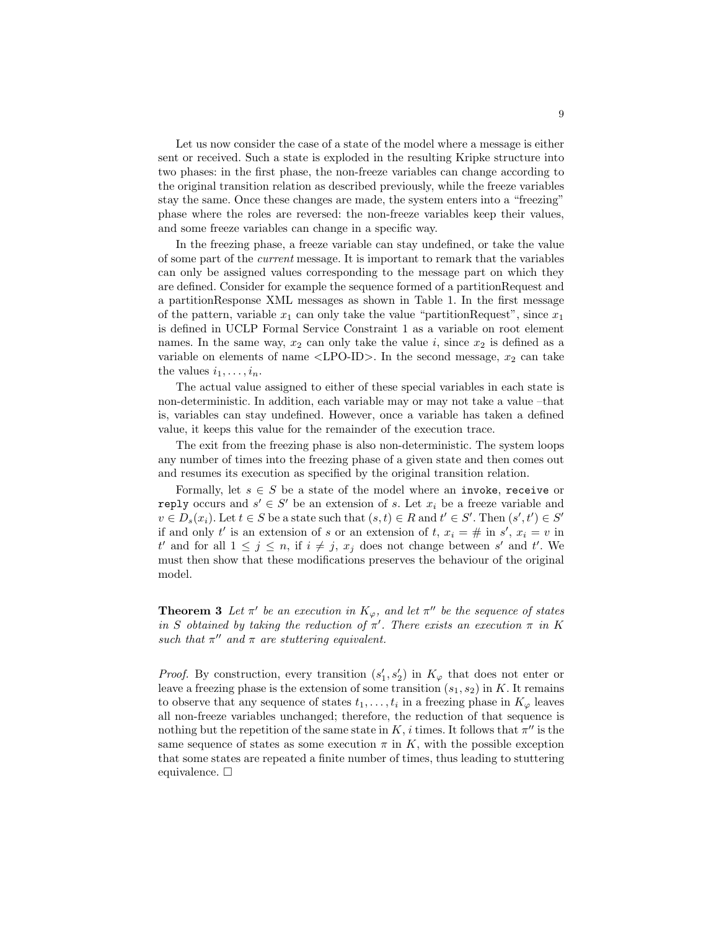Let us now consider the case of a state of the model where a message is either sent or received. Such a state is exploded in the resulting Kripke structure into two phases: in the first phase, the non-freeze variables can change according to the original transition relation as described previously, while the freeze variables stay the same. Once these changes are made, the system enters into a "freezing" phase where the roles are reversed: the non-freeze variables keep their values, and some freeze variables can change in a specific way.

In the freezing phase, a freeze variable can stay undefined, or take the value of some part of the current message. It is important to remark that the variables can only be assigned values corresponding to the message part on which they are defined. Consider for example the sequence formed of a partitionRequest and a partitionResponse XML messages as shown in Table 1. In the first message of the pattern, variable  $x_1$  can only take the value "partitionRequest", since  $x_1$ is defined in UCLP Formal Service Constraint 1 as a variable on root element names. In the same way,  $x_2$  can only take the value i, since  $x_2$  is defined as a variable on elements of name  $\langle\text{LPO-ID}\rangle$ . In the second message,  $x_2$  can take the values  $i_1, \ldots, i_n$ .

The actual value assigned to either of these special variables in each state is non-deterministic. In addition, each variable may or may not take a value –that is, variables can stay undefined. However, once a variable has taken a defined value, it keeps this value for the remainder of the execution trace.

The exit from the freezing phase is also non-deterministic. The system loops any number of times into the freezing phase of a given state and then comes out and resumes its execution as specified by the original transition relation.

Formally, let  $s \in S$  be a state of the model where an invoke, receive or reply occurs and  $s' \in S'$  be an extension of s. Let  $x_i$  be a freeze variable and  $v \in D_s(x_i)$ . Let  $t \in S$  be a state such that  $(s, t) \in R$  and  $t' \in S'$ . Then  $(s', t') \in S'$ if and only t' is an extension of s or an extension of t,  $x_i = \#$  in s',  $x_i = v$  in t' and for all  $1 \leq j \leq n$ , if  $i \neq j$ ,  $x_j$  does not change between s' and t'. We must then show that these modifications preserves the behaviour of the original model.

**Theorem 3** Let  $\pi'$  be an execution in  $K_{\varphi}$ , and let  $\pi''$  be the sequence of states in S obtained by taking the reduction of  $\pi'$ . There exists an execution  $\pi$  in K such that  $\pi''$  and  $\pi$  are stuttering equivalent.

*Proof.* By construction, every transition  $(s'_1, s'_2)$  in  $K_{\varphi}$  that does not enter or leave a freezing phase is the extension of some transition  $(s_1, s_2)$  in K. It remains to observe that any sequence of states  $t_1, \ldots, t_i$  in a freezing phase in  $K_{\varphi}$  leaves all non-freeze variables unchanged; therefore, the reduction of that sequence is nothing but the repetition of the same state in K, i times. It follows that  $\pi''$  is the same sequence of states as some execution  $\pi$  in K, with the possible exception that some states are repeated a finite number of times, thus leading to stuttering equivalence.  $\square$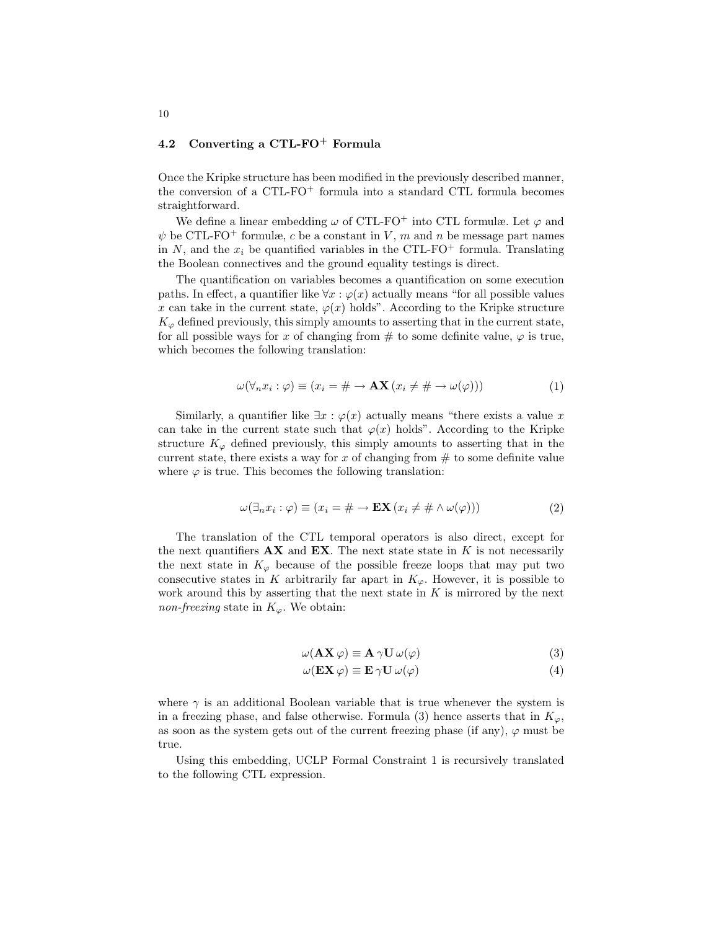### 4.2 Converting a CTL-FO<sup>+</sup> Formula

Once the Kripke structure has been modified in the previously described manner, the conversion of a  $CTL$ - $FO^+$  formula into a standard CTL formula becomes straightforward.

We define a linear embedding  $\omega$  of CTL-FO<sup>+</sup> into CTL formulæ. Let  $\varphi$  and  $\psi$  be CTL-FO<sup>+</sup> formulæ, c be a constant in V, m and n be message part names in N, and the  $x_i$  be quantified variables in the CTL-FO<sup>+</sup> formula. Translating the Boolean connectives and the ground equality testings is direct.

The quantification on variables becomes a quantification on some execution paths. In effect, a quantifier like  $\forall x : \varphi(x)$  actually means "for all possible values x can take in the current state,  $\varphi(x)$  holds". According to the Kripke structure  $K_{\varphi}$  defined previously, this simply amounts to asserting that in the current state, for all possible ways for x of changing from  $\#$  to some definite value,  $\varphi$  is true, which becomes the following translation:

$$
\omega(\forall_n x_i : \varphi) \equiv (x_i = \# \to \mathbf{AX} \, (x_i \neq \# \to \omega(\varphi))) \tag{1}
$$

Similarly, a quantifier like  $\exists x : \varphi(x)$  actually means "there exists a value x" can take in the current state such that  $\varphi(x)$  holds". According to the Kripke structure  $K_{\varphi}$  defined previously, this simply amounts to asserting that in the current state, there exists a way for x of changing from  $#$  to some definite value where  $\varphi$  is true. This becomes the following translation:

$$
\omega(\exists_n x_i : \varphi) \equiv (x_i = \# \to \mathbf{EX} \ (x_i \neq \# \land \omega(\varphi))) \tag{2}
$$

The translation of the CTL temporal operators is also direct, except for the next quantifiers  $AX$  and  $EX$ . The next state state in K is not necessarily the next state in  $K_{\varphi}$  because of the possible freeze loops that may put two consecutive states in K arbitrarily far apart in  $K_{\varphi}$ . However, it is possible to work around this by asserting that the next state in  $K$  is mirrored by the next non-freezing state in  $K_{\varphi}$ . We obtain:

$$
\omega(\mathbf{A}\mathbf{X}\,\varphi) \equiv \mathbf{A}\,\gamma\mathbf{U}\,\omega(\varphi) \tag{3}
$$

$$
\omega(\mathbf{EX}\,\varphi) \equiv \mathbf{E}\,\gamma\mathbf{U}\,\omega(\varphi) \tag{4}
$$

where  $\gamma$  is an additional Boolean variable that is true whenever the system is in a freezing phase, and false otherwise. Formula (3) hence asserts that in  $K_{\varphi}$ , as soon as the system gets out of the current freezing phase (if any),  $\varphi$  must be true.

Using this embedding, UCLP Formal Constraint 1 is recursively translated to the following CTL expression.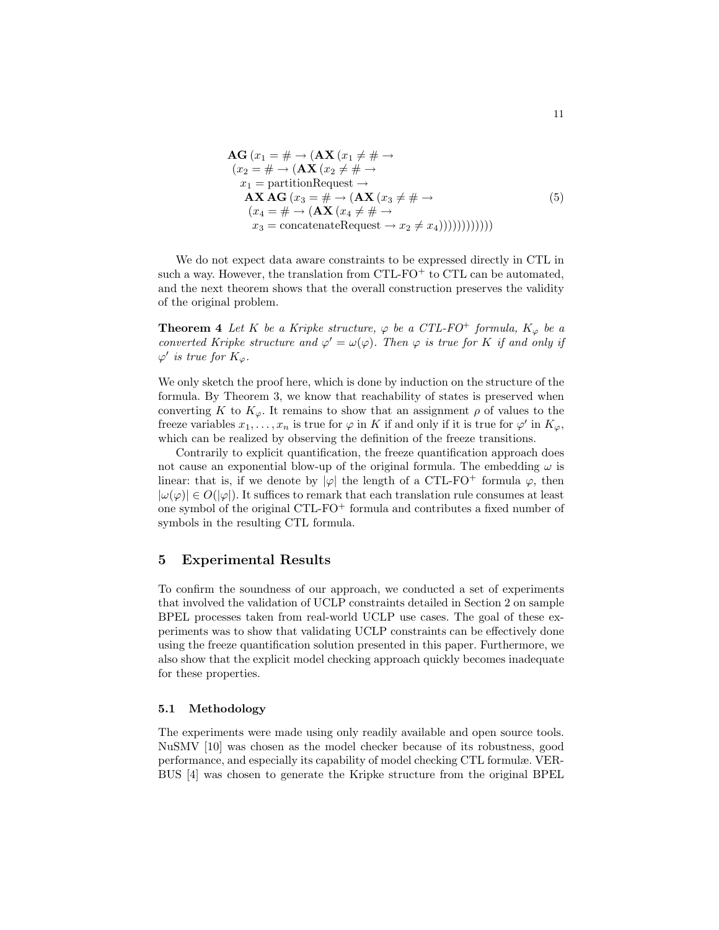$$
\begin{array}{ll}\n\mathbf{AG} \left( x_1 = \# \to (\mathbf{AX} \left( x_1 \neq \# \to \right) \\
\left( x_2 = \# \to (\mathbf{AX} \left( x_2 \neq \# \to \right) \\
x_1 = \text{partitionRequest} \to \\
& \mathbf{AX} \mathbf{AG} \left( x_3 = \# \to (\mathbf{AX} \left( x_3 \neq \# \to \right) \\
\left( x_4 = \# \to (\mathbf{AX} \left( x_4 \neq \# \to \right) \\
x_3 = \text{concatenateRequest} \to x_2 \neq x_4))))))))))))\n\end{array} \n\tag{5}
$$

We do not expect data aware constraints to be expressed directly in CTL in such a way. However, the translation from  $\text{CTL-FO}^+$  to  $\text{CTL}$  can be automated, and the next theorem shows that the overall construction preserves the validity of the original problem.

**Theorem 4** Let K be a Kripke structure,  $\varphi$  be a CTL-FO<sup>+</sup> formula,  $K_{\varphi}$  be a converted Kripke structure and  $\varphi' = \omega(\varphi)$ . Then  $\varphi$  is true for K if and only if  $\varphi'$  is true for  $K_{\varphi}$ .

We only sketch the proof here, which is done by induction on the structure of the formula. By Theorem 3, we know that reachability of states is preserved when converting K to  $K_{\varphi}$ . It remains to show that an assignment  $\rho$  of values to the freeze variables  $x_1, \ldots, x_n$  is true for  $\varphi$  in K if and only if it is true for  $\varphi'$  in  $K_{\varphi}$ , which can be realized by observing the definition of the freeze transitions.

Contrarily to explicit quantification, the freeze quantification approach does not cause an exponential blow-up of the original formula. The embedding  $\omega$  is linear: that is, if we denote by  $|\varphi|$  the length of a CTL-FO<sup>+</sup> formula  $\varphi$ , then  $|\omega(\varphi)| \in O(|\varphi|)$ . It suffices to remark that each translation rule consumes at least one symbol of the original CTL-FO<sup>+</sup> formula and contributes a fixed number of symbols in the resulting CTL formula.

### 5 Experimental Results

To confirm the soundness of our approach, we conducted a set of experiments that involved the validation of UCLP constraints detailed in Section 2 on sample BPEL processes taken from real-world UCLP use cases. The goal of these experiments was to show that validating UCLP constraints can be effectively done using the freeze quantification solution presented in this paper. Furthermore, we also show that the explicit model checking approach quickly becomes inadequate for these properties.

### 5.1 Methodology

The experiments were made using only readily available and open source tools. NuSMV [10] was chosen as the model checker because of its robustness, good performance, and especially its capability of model checking CTL formulæ. VER-BUS [4] was chosen to generate the Kripke structure from the original BPEL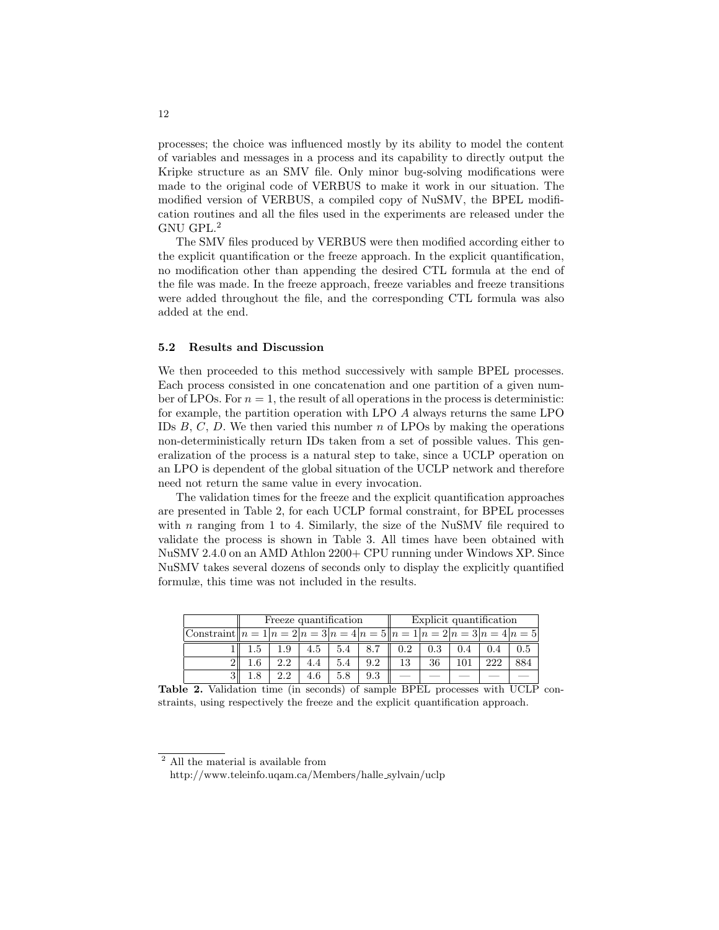processes; the choice was influenced mostly by its ability to model the content of variables and messages in a process and its capability to directly output the Kripke structure as an SMV file. Only minor bug-solving modifications were made to the original code of VERBUS to make it work in our situation. The modified version of VERBUS, a compiled copy of NuSMV, the BPEL modification routines and all the files used in the experiments are released under the GNU GPL.<sup>2</sup>

The SMV files produced by VERBUS were then modified according either to the explicit quantification or the freeze approach. In the explicit quantification, no modification other than appending the desired CTL formula at the end of the file was made. In the freeze approach, freeze variables and freeze transitions were added throughout the file, and the corresponding CTL formula was also added at the end.

### 5.2 Results and Discussion

We then proceeded to this method successively with sample BPEL processes. Each process consisted in one concatenation and one partition of a given number of LPOs. For  $n = 1$ , the result of all operations in the process is deterministic: for example, the partition operation with LPO A always returns the same LPO IDs  $B, C, D$ . We then varied this number n of LPOs by making the operations non-deterministically return IDs taken from a set of possible values. This generalization of the process is a natural step to take, since a UCLP operation on an LPO is dependent of the global situation of the UCLP network and therefore need not return the same value in every invocation.

The validation times for the freeze and the explicit quantification approaches are presented in Table 2, for each UCLP formal constraint, for BPEL processes with  $n$  ranging from 1 to 4. Similarly, the size of the NuSMV file required to validate the process is shown in Table 3. All times have been obtained with NuSMV 2.4.0 on an AMD Athlon 2200+ CPU running under Windows XP. Since NuSMV takes several dozens of seconds only to display the explicitly quantified formulæ, this time was not included in the results.

|                                                                                                                                                                  |     |     | Freeze quantification |     | Explicit quantification |     |     |     |     |
|------------------------------------------------------------------------------------------------------------------------------------------------------------------|-----|-----|-----------------------|-----|-------------------------|-----|-----|-----|-----|
| $\lfloor$ Constraint $\lfloor n=1 \rfloor$ $n=2 \lfloor n=3 \rfloor$ $n=4 \lfloor n=5 \rfloor$ $n=1 \lfloor n=2 \rfloor$ $n=3 \lfloor n=4 \rfloor$ $n=5 \lfloor$ |     |     |                       |     |                         |     |     |     |     |
|                                                                                                                                                                  | 1.9 | 4.5 | 5.4                   | 8.7 | 0.2                     | 0.3 | 0.4 | 0.4 | 0.5 |
|                                                                                                                                                                  | 2.2 | 4.4 | 5.4                   | 9.2 |                         | 36  |     |     |     |
|                                                                                                                                                                  | 2.2 | 4.6 | 5.8                   | 9.3 |                         |     |     |     |     |

Table 2. Validation time (in seconds) of sample BPEL processes with UCLP constraints, using respectively the freeze and the explicit quantification approach.

<sup>2</sup> All the material is available from

http://www.teleinfo.uqam.ca/Members/halle sylvain/uclp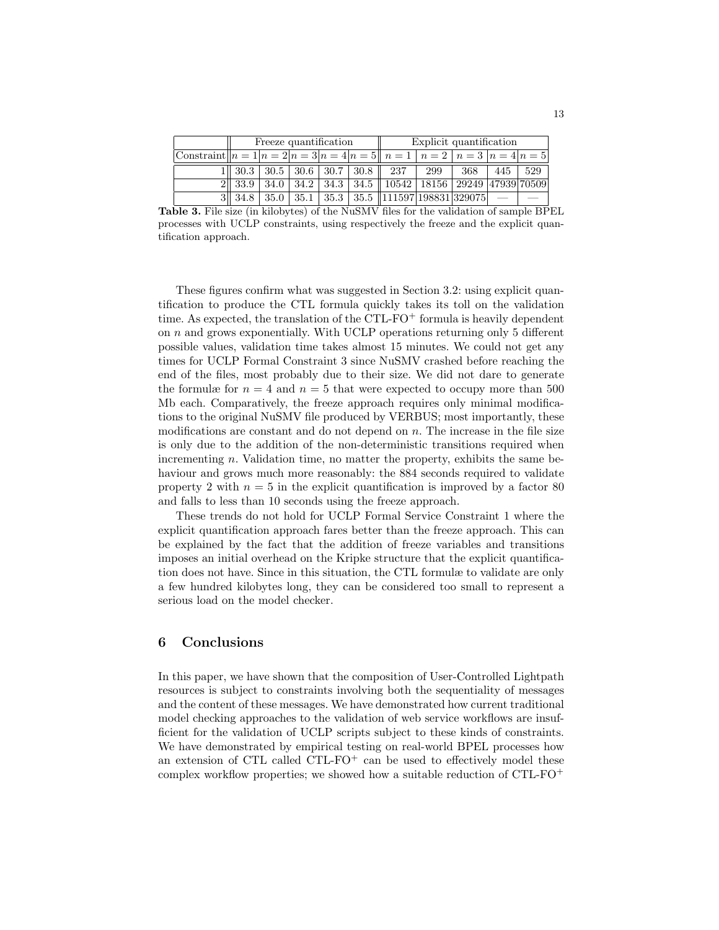|                                                                                                     |         | Freeze quantification |  | Explicit quantification                                   |     |     |     |     |
|-----------------------------------------------------------------------------------------------------|---------|-----------------------|--|-----------------------------------------------------------|-----|-----|-----|-----|
| $\text{Constant} \  n = 1   n = 2   n = 3   n = 4   n = 5 \  n = 1   n = 2   n = 3   n = 4   n = 5$ |         |                       |  |                                                           |     |     |     |     |
|                                                                                                     |         |                       |  | $\mid$ 30.3   30.5   30.6   30.7   30.8    237            | 299 | 368 | 445 | 529 |
|                                                                                                     | 2  33.9 |                       |  | 34.0 34.2 34.3 34.5 $\vert$ 10542 18156 29249 47939 70509 |     |     |     |     |
|                                                                                                     | 3 34.8  |                       |  | $35.0$   $35.1$   $35.3$   $35.5$   111597 198831 329075  |     |     |     |     |

Table 3. File size (in kilobytes) of the NuSMV files for the validation of sample BPEL processes with UCLP constraints, using respectively the freeze and the explicit quantification approach.

These figures confirm what was suggested in Section 3.2: using explicit quantification to produce the CTL formula quickly takes its toll on the validation time. As expected, the translation of the CTL-FO<sup>+</sup> formula is heavily dependent on  $n$  and grows exponentially. With UCLP operations returning only 5 different possible values, validation time takes almost 15 minutes. We could not get any times for UCLP Formal Constraint 3 since NuSMV crashed before reaching the end of the files, most probably due to their size. We did not dare to generate the formulæ for  $n = 4$  and  $n = 5$  that were expected to occupy more than 500 Mb each. Comparatively, the freeze approach requires only minimal modifications to the original NuSMV file produced by VERBUS; most importantly, these modifications are constant and do not depend on n. The increase in the file size is only due to the addition of the non-deterministic transitions required when incrementing n. Validation time, no matter the property, exhibits the same behaviour and grows much more reasonably: the 884 seconds required to validate property 2 with  $n = 5$  in the explicit quantification is improved by a factor 80 and falls to less than 10 seconds using the freeze approach.

These trends do not hold for UCLP Formal Service Constraint 1 where the explicit quantification approach fares better than the freeze approach. This can be explained by the fact that the addition of freeze variables and transitions imposes an initial overhead on the Kripke structure that the explicit quantification does not have. Since in this situation, the CTL formulæ to validate are only a few hundred kilobytes long, they can be considered too small to represent a serious load on the model checker.

## 6 Conclusions

In this paper, we have shown that the composition of User-Controlled Lightpath resources is subject to constraints involving both the sequentiality of messages and the content of these messages. We have demonstrated how current traditional model checking approaches to the validation of web service workflows are insufficient for the validation of UCLP scripts subject to these kinds of constraints. We have demonstrated by empirical testing on real-world BPEL processes how an extension of CTL called  $\text{CTL-FO}^+$  can be used to effectively model these complex workflow properties; we showed how a suitable reduction of  $CTL-FO^+$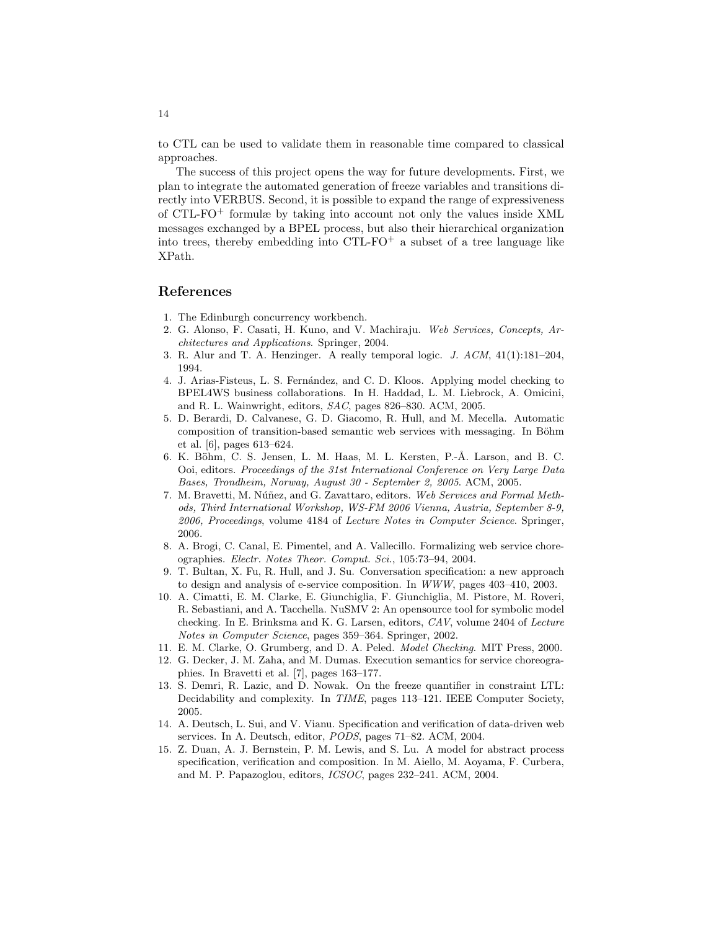to CTL can be used to validate them in reasonable time compared to classical approaches.

The success of this project opens the way for future developments. First, we plan to integrate the automated generation of freeze variables and transitions directly into VERBUS. Second, it is possible to expand the range of expressiveness of CTL-FO<sup>+</sup> formulæ by taking into account not only the values inside XML messages exchanged by a BPEL process, but also their hierarchical organization into trees, thereby embedding into  $\text{CTL-FO}^+$  a subset of a tree language like XPath.

### References

- 1. The Edinburgh concurrency workbench.
- 2. G. Alonso, F. Casati, H. Kuno, and V. Machiraju. Web Services, Concepts, Architectures and Applications. Springer, 2004.
- 3. R. Alur and T. A. Henzinger. A really temporal logic. J. ACM, 41(1):181–204, 1994.
- 4. J. Arias-Fisteus, L. S. Fernández, and C. D. Kloos. Applying model checking to BPEL4WS business collaborations. In H. Haddad, L. M. Liebrock, A. Omicini, and R. L. Wainwright, editors, SAC, pages 826–830. ACM, 2005.
- 5. D. Berardi, D. Calvanese, G. D. Giacomo, R. Hull, and M. Mecella. Automatic composition of transition-based semantic web services with messaging. In Böhm et al. [6], pages 613–624.
- 6. K. Böhm, C. S. Jensen, L. M. Haas, M. L. Kersten, P.-Å. Larson, and B. C. Ooi, editors. Proceedings of the 31st International Conference on Very Large Data Bases, Trondheim, Norway, August 30 - September 2, 2005. ACM, 2005.
- 7. M. Bravetti, M. Núñez, and G. Zavattaro, editors. Web Services and Formal Methods, Third International Workshop, WS-FM 2006 Vienna, Austria, September 8-9, 2006, Proceedings, volume 4184 of Lecture Notes in Computer Science. Springer, 2006.
- 8. A. Brogi, C. Canal, E. Pimentel, and A. Vallecillo. Formalizing web service choreographies. Electr. Notes Theor. Comput. Sci., 105:73–94, 2004.
- 9. T. Bultan, X. Fu, R. Hull, and J. Su. Conversation specification: a new approach to design and analysis of e-service composition. In WWW, pages 403–410, 2003.
- 10. A. Cimatti, E. M. Clarke, E. Giunchiglia, F. Giunchiglia, M. Pistore, M. Roveri, R. Sebastiani, and A. Tacchella. NuSMV 2: An opensource tool for symbolic model checking. In E. Brinksma and K. G. Larsen, editors, CAV, volume 2404 of Lecture Notes in Computer Science, pages 359–364. Springer, 2002.
- 11. E. M. Clarke, O. Grumberg, and D. A. Peled. Model Checking. MIT Press, 2000.
- 12. G. Decker, J. M. Zaha, and M. Dumas. Execution semantics for service choreographies. In Bravetti et al. [7], pages 163–177.
- 13. S. Demri, R. Lazic, and D. Nowak. On the freeze quantifier in constraint LTL: Decidability and complexity. In TIME, pages 113–121. IEEE Computer Society, 2005.
- 14. A. Deutsch, L. Sui, and V. Vianu. Specification and verification of data-driven web services. In A. Deutsch, editor, PODS, pages 71–82. ACM, 2004.
- 15. Z. Duan, A. J. Bernstein, P. M. Lewis, and S. Lu. A model for abstract process specification, verification and composition. In M. Aiello, M. Aoyama, F. Curbera, and M. P. Papazoglou, editors, ICSOC, pages 232–241. ACM, 2004.

14